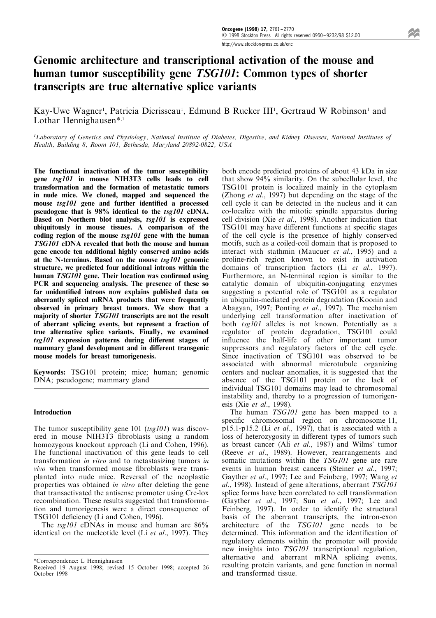# Genomic architecture and transcriptional activation of the mouse and human tumor susceptibility gene TSG101: Common types of shorter transcripts are true alternative splice variants

Kay-Uwe Wagner<sup>1</sup>, Patricia Dierisseau<sup>1</sup>, Edmund B Rucker III<sup>1</sup>, Gertraud W Robinson<sup>1</sup> and Lothar Hennighausen\*,1

<sup>1</sup>Laboratory of Genetics and Physiology, National Institute of Diabetes, Digestive, and Kidney Diseases, National Institutes of Health, Building 8, Room 101, Bethesda, Maryland 20892-0822, USA

The functional inactivation of the tumor susceptibility gene tsg101 in mouse NIH3T3 cells leads to cell transformation and the formation of metastatic tumors in nude mice. We cloned, mapped and sequenced the mouse  $tsg101$  gene and further identified a processed pseudogene that is 98% identical to the tsg101 cDNA. Based on Northern blot analysis, tsg101 is expressed ubiquitously in mouse tissues. A comparison of the coding region of the mouse  $tsg101$  gene with the human TSG101 cDNA revealed that both the mouse and human gene encode ten additional highly conserved amino acids at the N-terminus. Based on the mouse tsg101 genomic structure, we predicted four additional introns within the human  $TSG101$  gene. Their location was confirmed using PCR and sequencing analysis. The presence of these so far unidentified introns now explains published data on aberrantly spliced mRNA products that were frequently observed in primary breast tumors. We show that a majority of shorter TSG101 transcripts are not the result of aberrant splicing events, but represent a fraction of true alternative splice variants. Finally, we examined  $tsg101$  expression patterns during different stages of mammary gland development and in different transgenic mouse models for breast tumorigenesis.

Keywords: TSG101 protein; mice; human; genomic DNA; pseudogene; mammary gland

# Introduction

The tumor susceptibility gene  $101$  (tsg101) was discovered in mouse NIH3T3 fibroblasts using a random homozygous knockout approach (Li and Cohen, 1996). The functional inactivation of this gene leads to cell transformation in vitro and to metastasizing tumors in vivo when transformed mouse fibroblasts were transplanted into nude mice. Reversal of the neoplastic properties was obtained in vitro after deleting the gene that transactivated the antisense promoter using Cre-lox recombination. These results suggested that transformation and tumorigenesis were a direct consequence of TSG101 deficiency (Li and Cohen, 1996).

The tsg101 cDNAs in mouse and human are  $86\%$ identical on the nucleotide level (Li et al., 1997). They both encode predicted proteins of about 43 kDa in size that show 94% similarity. On the subcellular level, the TSG101 protein is localized mainly in the cytoplasm (Zhong et al., 1997) but depending on the stage of the cell cycle it can be detected in the nucleus and it can co-localize with the mitotic spindle apparatus during cell division (Xie et al., 1998). Another indication that TSG101 may have different functions at specific stages of the cell cycle is the presence of highly conserved motifs, such as a coiled-coil domain that is proposed to interact with stathmin (Maucuer et al., 1995) and a proline-rich region known to exist in activation domains of transcription factors (Li et al., 1997). Furthermore, an N-terminal region is similar to the catalytic domain of ubiquitin-conjugating enzymes suggesting a potential role of TSG101 as a regulator in ubiquitin-mediated protein degradation (Koonin and Abagyan, 1997; Ponting et al., 1997). The mechanism underlying cell transformation after inactivation of both tsg101 alleles is not known. Potentially as a regulator of protein degradation, TSG101 could influence the half-life of other important tumor suppressors and regulatory factors of the cell cycle. Since inactivation of TSG101 was observed to be associated with abnormal microtubule organizing centers and nuclear anomalies, it is suggested that the absence of the TSG101 protein or the lack of individual TSG101 domains may lead to chromosomal instability and, thereby to a progression of tumorigenesis (Xie et al., 1998).

The human TSG101 gene has been mapped to a specific chromosomal region on chromosome 11,  $p15.1-p15.2$  (Li et al., 1997), that is associated with a loss of heterozygosity in different types of tumors such as breast cancer (Ali et al., 1987) and Wilms' tumor (Reeve et al., 1989). However, rearrangements and somatic mutations within the TSG101 gene are rare events in human breast cancers (Steiner et al., 1997; Gayther et al., 1997; Lee and Feinberg, 1997; Wang et al., 1998). Instead of gene alterations, aberrant TSG101 splice forms have been correlated to cell transformation (Gayther et al., 1997; Sun et al., 1997; Lee and Feinberg, 1997). In order to identify the structural basis of the aberrant transcripts, the intron-exon architecture of the TSG101 gene needs to be determined. This information and the identification of regulatory elements within the promoter will provide new insights into TSG101 transcriptional regulation, alternative and aberrant mRNA splicing events, resulting protein variants, and gene function in normal and transformed tissue.

<sup>\*</sup>Correspondence: L Hennighausen

Received 19 August 1998; revised 15 October 1998; accepted 26 October 1998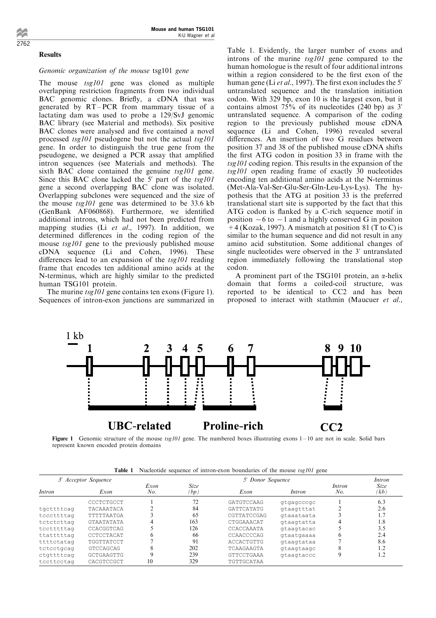#### Results

# Genomic organization of the mouse tsg101 gene

The mouse  $tsg101$  gene was cloned as multiple overlapping restriction fragments from two individual BAC genomic clones. Briefly, a cDNA that was generated by  $RT-PCR$  from mammary tissue of a lactating dam was used to probe a 129/SvJ genomic BAC library (see Material and methods). Six positive BAC clones were analysed and five contained a novel processed tsg101 pseudogene but not the actual tsg101 gene. In order to distinguish the true gene from the pseudogene, we designed a PCR assay that amplified intron sequences (see Materials and methods). The sixth BAC clone contained the genuine  $tsg101$  gene. Since this BAC clone lacked the  $5'$  part of the  $tsg101$ gene a second overlapping BAC clone was isolated. Overlapping subclones were sequenced and the size of the mouse tsg101 gene was determined to be 33.6 kb (GenBank AF060868). Furthermore, we identified additional introns, which had not been predicted from mapping studies (Li et al., 1997). In addition, we determined differences in the coding region of the mouse tsg101 gene to the previously published mouse cDNA sequence (Li and Cohen, 1996). These differences lead to an expansion of the  $tsg101$  reading frame that encodes ten additional amino acids at the N-terminus, which are highly similar to the predicted human TSG101 protein.

The murine tsg101 gene contains ten exons (Figure 1). Sequences of intron-exon junctions are summarized in Table 1. Evidently, the larger number of exons and introns of the murine tsg101 gene compared to the human homologue is the result of four additional introns within a region considered to be the first exon of the human gene (Li et al., 1997). The first exon includes the 5' untranslated sequence and the translation initiation codon. With 329 bp, exon 10 is the largest exon, but it contains almost 75% of its nucleotides (240 bp) as 3' untranslated sequence. A comparison of the coding region to the previously published mouse cDNA sequence (Li and Cohen, 1996) revealed several differences. An insertion of two G residues between position 37 and 38 of the published mouse cDNA shifts the first ATG codon in position 33 in frame with the tsg101 coding region. This results in the expansion of the tsg101 open reading frame of exactly 30 nucleotides encoding ten additional amino acids at the N-terminus (Met-Ala-Val-Ser-Glu-Ser-Gln-Leu-Lys-Lys). The hypothesis that the ATG at position 33 is the preferred translational start site is supported by the fact that this ATG codon is flanked by a C-rich sequence motif in position  $-6$  to  $-1$  and a highly conserved G in positon  $+4$  (Kozak, 1997). A mismatch at position 81 (T to C) is similar to the human sequence and did not result in any amino acid substitution. Some additional changes of single nucleotides were observed in the 3' untranslated region immediately following the translational stop codon.

A prominent part of the TSG101 protein, an  $\alpha$ -helix domain that forms a coiled-coil structure, was reported to be identical to CC2 and has been proposed to interact with stathmin (Maucuer et al.,



Figure 1 Genomic structure of the mouse  $tsg101$  gene. The numbered boxes illustrating exons  $1-10$  are not in scale. Solid bars represent known encoded protein domains

|  |  |  |  | <b>Table 1</b> Nucleotide sequence of intron-exon boundaries of the mouse tsg101 gene |  |  |  |  |  |  |
|--|--|--|--|---------------------------------------------------------------------------------------|--|--|--|--|--|--|
|--|--|--|--|---------------------------------------------------------------------------------------|--|--|--|--|--|--|

| 3' Acceptor Sequence |                   |              | 5' Donor Sequence   |                   |            |               |              |  |
|----------------------|-------------------|--------------|---------------------|-------------------|------------|---------------|--------------|--|
| <i>Intron</i>        | Exon              | Exon<br>No.  | <b>Size</b><br>(bp) | Exon              | Intron     | Intron<br>No. | Size<br>(kb) |  |
|                      | CCCTCTGCCT        |              | 72                  | GATGTCCAAG        | gtgagcccgc |               | 6.3          |  |
| tgcttttcag           | TACAAATACA        |              | 84                  | <b>GATTCATATG</b> | gtaagtttat |               | 2.6          |  |
| tcccttttag           | TTTTTAATGA        |              | 65                  | CGTTATCCGAG       | gtaaataata |               | 1.7          |  |
| tctctcttag           | <b>GTAATATATA</b> |              | 163                 | CTGGAAACAT        | gtaagtatta |               | 1.8          |  |
| tcctttttag           | CCACGGTCAG        |              | 126                 | CCACCAAATA        | gtaagtacac |               | 3.5          |  |
| ttatttttag           | CCTCCTACAT        | <sub>6</sub> | 66                  | CCAACCCCAG        | gtaatgaaaa | 6             | 2.4          |  |
| ttttctatag           | TGGTTATCCT        |              | 91                  | ACCACTGTTG        | gtaagtataa |               | 8.6          |  |
| tctcctgcag           | GTCCAGCAG         | Δ            | 202                 | TCAAGAAGTA        | gtaagtaagc | 8             | 1.2          |  |
| ctgttttcag           | GCTGAAGTTG        |              | 239                 | <b>GTTCCTGAAA</b> | gtaagtaccc | 9             | 1.2          |  |
| tccttcctag           | CACGTCCGCT        | 10           | 329                 | TGTTGCATAA        |            |               |              |  |

2762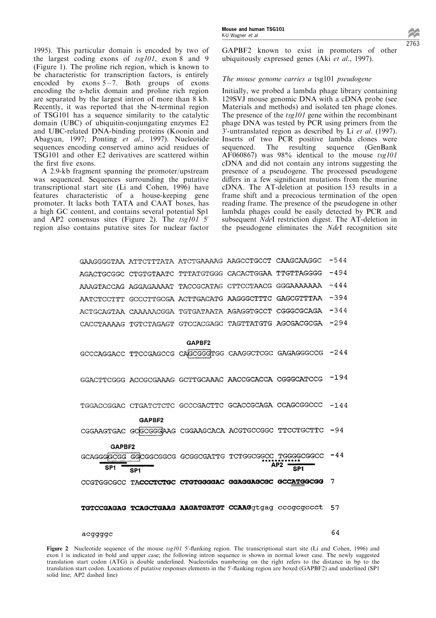1995). This particular domain is encoded by two of the largest coding exons of  $tsg101$ , exon 8 and 9 (Figure 1). The proline rich region, which is known to be characteristic for transcription factors, is entirely encoded by exons  $5-7$ . Both groups of exons encoding the a-helix domain and proline rich region are separated by the largest intron of more than 8 kb. Recently, it was reported that the N-terminal region of TSG101 has a sequence similarity to the catalytic domain (UBC) of ubiquitin-conjungating enzymes E2 and UBC-related DNA-binding proteins (Koonin and Abagyan, 1997; Ponting et al., 1997). Nucleotide sequences encoding conserved amino acid residues of TSG101 and other E2 derivatives are scattered within the first five exons.

A 2.9-kb fragment spanning the promoter/upstream was sequenced. Sequences surrounding the putative transcriptional start site (Li and Cohen, 1996) have features characteristic of a house-keeping gene promoter. It lacks both TATA and CAAT boxes, has a high GC content, and contains several potential Sp1 and AP2 consensus sites (Figure 2). The tsg101 5' region also contains putative sites for nuclear factor GAPBF2 known to exist in promoters of other ubiquitously expressed genes (Aki et al., 1997).

# The mouse genome carries a tsg101 pseudogene

Initially, we probed a lambda phage library containing 129SVJ mouse genomic DNA with a cDNA probe (see Materials and methods) and isolated ten phage clones. The presence of the *tsg101* gene within the recombinant phage DNA was tested by PCR using primers from the 3'-untranslated region as described by Li et al. (1997). Inserts of two PCR positive lambda clones were sequenced. The resulting sequence (GenBank AF060867) was 98% identical to the mouse tsg101 cDNA and did not contain any introns suggesting the presence of a pseudogene. The processed pseudogene differs in a few significant mutations from the murine cDNA. The AT-deletion at position 153 results in a frame shift and a precocious termination of the open reading frame. The presence of the pseudogene in other lambda phages could be easily detected by PCR and subsequent NdeI restriction digest. The AT-deletion in the pseudogene eliminates the NdeI recognition site

|                 | GAAGGGGTAA ATTCTTTATA ATCTGAAAAG AAGCCTGCCT CAAGCAAGGC |        |                                                                   | $-544$ |
|-----------------|--------------------------------------------------------|--------|-------------------------------------------------------------------|--------|
|                 | AGACTGCGGC CTGTGTAATC TTTATGTGGG CACACTGGAA TTGTTAGGGG |        |                                                                   | $-494$ |
|                 | AAAGTACCAG AGGAGAAAAT TACCGCATAG CTTCCTAACG GGGAAAAAAA |        |                                                                   | $-444$ |
|                 | AATCTCCTTT GCCCTTGCGA ACTTGACATG AAGGGCTTTC GAGCGTTTAA |        |                                                                   | $-394$ |
|                 | ACTGCAGTAA CAAAAACGGA TGTGATAATA AGAGGTGCCT CGGGCGCAGA |        |                                                                   | $-344$ |
|                 | CACCTAAAAG TGTCTAGAGT GTCCACGAGC TAGTTATGTG AGCGACGCGA |        |                                                                   | $-294$ |
|                 |                                                        | GAPBF2 |                                                                   |        |
|                 |                                                        |        | GCCCAGGACC TTCCGAGCCG CAGCGGGTGG CAAGGCTCGC GAGAGGGCCG -244       |        |
|                 | GGACTTCGGG ACCGCGAAAG GCTTGCAAAC AACCGCACCA CGGGCATCCG |        |                                                                   | $-194$ |
|                 |                                                        |        | TGGACCGGAC CTGATCTCTC GCCCGACTTC GCACCGCAGA CCAGCGGCCC -144       |        |
|                 | GAPBF2                                                 |        |                                                                   |        |
|                 |                                                        |        | CGGAAGTGAC GCGCGGGAAG CGGAAGCACA ACGTGCCGGC TTCCTGCTTC -94        |        |
| GAPBF2          |                                                        |        |                                                                   |        |
|                 |                                                        |        | GCAGGGGCGG GGCGGCGGCG GCGGCGATTG TCTGGCGGCC TGGGGCGGCC -44<br>AP2 |        |
| SP <sub>1</sub> | SP <sub>1</sub>                                        |        | SP <sub>1</sub>                                                   |        |
|                 |                                                        |        | CCGTGGCGCC TACCCTCTGC CTGTGGGGAC GGAGGAGCGC GCCATGGCGG            | 7      |
|                 |                                                        |        | TGTCCGAGAG TCAGCTGAAG AAGATGATGT CCAAGGtgag cccgcgccct 57         |        |

#### acqqqqc

64

Figure 2 Nucleotide sequence of the mouse  $tsg101$  5'-flanking region. The transcriptional start site (Li and Cohen, 1996) and exon 1 is indicated in bold and upper case; the following intron sequence is shown in normal lower case. The newly suggested translation start codon (ATG) is double underlined. Nucleotides numbering on the right refers to the distance in bp to the translation start codon. Locations of putative responses elements in the 5'-flanking region are boxed (GAPBF2) and underlined (SP1 solid line; AP2 dashed line)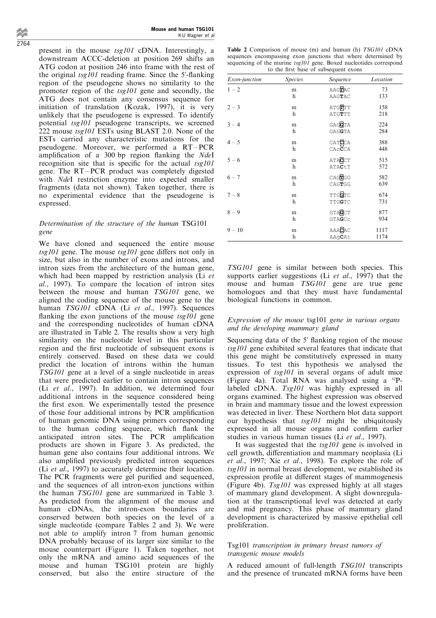Mouse and human TSG101 K-U Wagner et al

present in the mouse tsg101 cDNA. Interestingly, a downstream ACCC-deletion at position 269 shifts an ATG codon at position 246 into frame with the rest of the original  $tsg101$  reading frame. Since the 5'-flanking region of the pseudogene shows no similarity to the promoter region of the tsg101 gene and secondly, the ATG does not contain any consensus sequence for initiation of translation (Kozak, 1997), it is very unlikely that the pseudogene is expressed. To identify potential tsg101 pseudogene transcripts, we screened 222 mouse tsg101 ESTs using BLAST 2.0. None of the ESTs carried any characteristic mutations for the pseudogene. Moreover, we performed a RT-PCR amplification of a 300 bp region flanking the  $NdeI$ recognition site that is specific for the actual  $tsg101$ gene. The RT-PCR product was completely digested with NdeI restriction enzyme into expected smaller fragments (data not shown). Taken together, there is no experimental evidence that the pseudogene is expressed.

## Determination of the structure of the human TSG101 gene

We have cloned and sequenced the entire mouse  $tsg101$  gene. The mouse  $tsg101$  gene differs not only in size, but also in the number of exons and introns, and intron sizes from the architecture of the human gene, which had been mapped by restriction analysis ( $\overline{Li}$  et al., 1997). To compare the location of intron sites between the mouse and human TSG101 gene, we aligned the coding sequence of the mouse gene to the human TSG101 cDNA (Li et al., 1997). Sequences flanking the exon junctions of the mouse  $tsg101$  gene and the corresponding nucleotides of human cDNA are illustrated in Table 2. The results show a very high similarity on the nucleotide level in this particular region and the first nucleotide of subsequent exons is entirely conserved. Based on these data we could predict the location of introns within the human TSG101 gene at a level of a single nucleotide in areas that were predicted earlier to contain intron sequences (Li et al., 1997). In addition, we determined four additional introns in the sequence considered being the first exon. We experimentally tested the presence of those four additional introns by PCR amplification of human genomic DNA using primers corresponding to the human coding sequence, which flank the anticipated intron sites. The PCR amplification products are shown in Figure 3. As predicted, the human gene also contains four additional introns. We also amplified previously predicted intron sequences (Li et al., 1997) to accurately determine their location. The PCR fragments were gel purified and sequenced, and the sequences of all intron-exon junctions within the human TSG101 gene are summarized in Table 3. As predicted from the alignment of the mouse and human cDNAs, the intron-exon boundaries are conserved between both species on the level of a single nucleotide (compare Tables 2 and 3). We were not able to amplify intron 7 from human genomic DNA probably because of its larger size similar to the mouse counterpart (Figure 1). Taken together, not only the mRNA and amino acid sequences of the mouse and human TSG101 protein are highly conserved, but also the entire structure of the

| <b>Table 2</b> Comparison of mouse (m) and human (h) <i>TSG101</i> cDNA |
|-------------------------------------------------------------------------|
| sequences encompassing exon junctions that where determined by          |
| sequencing of the murine $tsg101$ gene. Boxed nucleotides correspond    |
| to the first base of subsequent exons                                   |

| Exon-junction | <b>Species</b> | Sequence                                                       | Location |
|---------------|----------------|----------------------------------------------------------------|----------|
| $1 - 2$       | m              | $AAG$ $RAC$                                                    | 73       |
|               | h              | $\mathbb{A}\mathbb{A}\mathbb{G}\mathbb{T}\mathbb{A}\mathbb{C}$ | 133      |
| $2 - 3$       | m              | ATG <b>T</b> TT                                                | 158      |
|               | h              | ATGTTT                                                         | 218      |
| $3 - 4$       | m              | GAGGTA                                                         | 224      |
|               | h              | GAGGTA                                                         | 284      |
| $4 - 5$       | m              | $\texttt{CAT} \overline{\textbf{C}} \texttt{C} \texttt{A}$     | 388      |
|               | h              | CACCCA                                                         | 448      |
| $5 - 6$       | m              | <b>ATACCT</b>                                                  | 515      |
|               | h              | $\texttt{ATACT}$                                               | 572      |
| $6 - 7$       | m              | CAGTGG                                                         | 582      |
|               | h              | CAGTGG                                                         | 639      |
| $7 - 8$       | m              | TTGGTC                                                         | 674      |
|               | h              | TTGGTC                                                         | 731      |
| $8 - 9$       | m              | GTACCT                                                         | 877      |
|               | h              | GTAGCC                                                         | 934      |
| $9 - 10$      | m              | AAACAC                                                         | 1117     |
|               | h              | AAqCAt                                                         | 1174     |

TSG101 gene is similar between both species. This supports earlier suggestions (Li *et al.*, 1997) that the mouse and human TSG101 gene are true gene homologues and that they must have fundamental biological functions in common.

## Expression of the mouse tsg101 gene in various organs and the developing mammary gland

Sequencing data of the  $5'$  flanking region of the mouse tsg101 gene exhibited several features that indicate that this gene might be constitutively expressed in many tissues. To test this hypothesis we analysed the expression of tsg101 in several organs of adult mice (Figure 4a). Total RNA was analysed using a 32Plabeled cDNA. Tsg101 was highly expressed in all organs examined. The highest expression was observed in brain and mammary tissue and the lowest expression was detected in liver. These Northern blot data support our hypothesis that tsg101 might be ubiquitously expressed in all mouse organs and confirm earlier studies in various human tissues (Li et al., 1997).

It was suggested that the  $tsg101$  gene is involved in cell growth, differentiation and mammary neoplasia (Li et al., 1997; Xie et al., 1998). To explore the role of tsg101 in normal breast development, we established its expression profile at different stages of mammogenesis (Figure 4b). Tsg101 was expressed highly at all stages of mammary gland development. A slight downregulation at the transcriptional level was detected at early and mid pregnancy. This phase of mammary gland development is characterized by massive epithelial cell proliferation.

# Tsg101 transcription in primary breast tumors of transgenic mouse models

A reduced amount of full-length TSG101 transcripts and the presence of truncated mRNA forms have been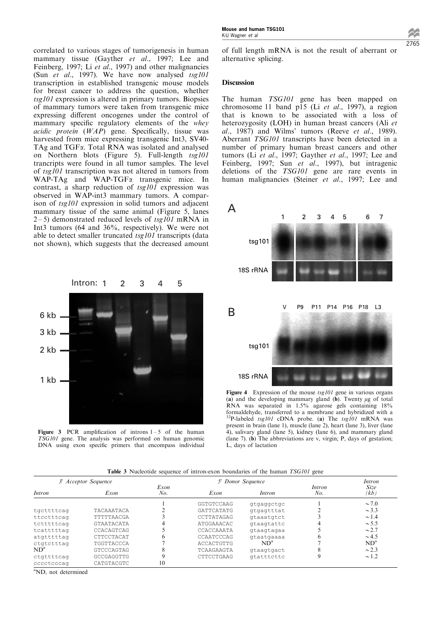correlated to various stages of tumorigenesis in human mammary tissue (Gayther et al., 1997; Lee and Feinberg, 1997; Li et al., 1997) and other malignancies (Sun et al., 1997). We have now analysed  $tsg101$ transcription in established transgenic mouse models for breast cancer to address the question, whether tsg101 expression is altered in primary tumors. Biopsies of mammary tumors were taken from transgenic mice expressing different oncogenes under the control of mammary specific regulatory elements of the whey acidic protein  $(WAP)$  gene. Specifically, tissue was harvested from mice expressing transgenic Int3, SV40- TAg and TGFa. Total RNA was isolated and analysed on Northern blots (Figure 5). Full-length tsg101 trancripts were found in all tumor samples. The level of tsg101 transcription was not altered in tumors from WAP-TAg and WAP-TGF<sub> $\alpha$ </sub> transgenic mice. In contrast, a sharp reduction of  $tsg101$  expression was observed in WAP-int3 mammary tumors. A comparison of tsg101 expression in solid tumors and adjacent mammary tissue of the same animal (Figure 5, lanes  $2-5$ ) demonstrated reduced levels of tsg101 mRNA in Int3 tumors (64 and 36%, respectively). We were not able to detect smaller truncated  $tsg101$  transcripts (data not shown), which suggests that the decreased amount



Figure 3 PCR amplification of introns  $1 - 5$  of the human TSG101 gene. The analysis was performed on human genomic DNA using exon specific primers that encompass individual

2765

of full length mRNA is not the result of aberrant or alternative splicing.

#### **Discussion**

The human TSG101 gene has been mapped on chromosome 11 band p15 (Li et al., 1997), a region that is known to be associated with a loss of heterozygosity (LOH) in human breast cancers (Ali et  $al., 1987)$  and Wilms' tumors (Reeve et al., 1989). Aberrant TSG101 transcripts have been detected in a number of primary human breast cancers and other tumors (Li et al., 1997; Gayther et al., 1997; Lee and Feinberg, 1997; Sun et al., 1997), but intragenic deletions of the TSG101 gene are rare events in human malignancies (Steiner et al., 1997; Lee and



Figure 4 Expression of the mouse  $tsg101$  gene in various organs (a) and the developing mammary gland  $(b)$ . Twenty  $\mu$ g of total RNA was separated in 1.5% agarose gels containing 18% formaldehyde, transferred to a membrane and hybridized with a  $^{32}P$ -labeled *tsg101* cDNA probe. (a) The *tsg101* mRNA was present in brain (lane 1), muscle (lane 2), heart (lane 3), liver (lane 4), salivary gland (lane 5), kidney (lane 6), and mammary gland (lane 7). (b) The abbreviations are v, virgin; P, days of gestation; L, days of lactation

|  |  |  | <b>Table 3</b> Nucleotide sequence of intron-exon boundaries of the human TSG101 gene |  |  |  |  |  |
|--|--|--|---------------------------------------------------------------------------------------|--|--|--|--|--|
|--|--|--|---------------------------------------------------------------------------------------|--|--|--|--|--|

| 3' Acceptor Sequence |                   |             | 5' Donor Sequence |            | Intron        |                 |
|----------------------|-------------------|-------------|-------------------|------------|---------------|-----------------|
| <i>Intron</i>        | Exon              | Exon<br>No. | Exon<br>Intron    |            | Intron<br>No. | Size<br>(kb     |
|                      |                   |             | GGTGTCCAAG        | gtgaggctgc |               | $\sim$ 7.0      |
| tgcttttcag           | TACAAATACA        |             | GATTCATATG        | gtgagtttat |               | $\sim$ 3.3      |
| ttcctttcag           | TTTTTAACGA        |             | CCTTATAGAG        | gtaaatgtct |               | $\sim$ 1.4      |
| tctttttcag           | <b>GTAATACATA</b> | 4           | ATGGAAACAC        | gtaagtattc | 4             | $\sim$ 5.5      |
| tcatttttag           | CCACAGTCAG        |             | CCACCAAATA        | gtaagtagaa |               | $\sim$ 2.7      |
| atgtttttag           | CTTCCTACAT        | 6           | CCAATCCCAG        | gtaatgaaaa | b             | $\sim$ 4.5      |
| ctgtctttag           | TGGTTACCCA        |             | ACCACTGTTG        | $ND^a$     |               | ND <sup>a</sup> |
| $ND^a$               | <b>GTCCCAGTAG</b> | 8           | TCAAGAAGTA        | gtaagtgact |               | $\sim$ 2.3      |
| ctgttttcag           | GCCGAGGTTG        | 9           | CTTCCTGAAG        | gtatttcttc | q             | $\sim$ 1.2      |
| cccctcccaq           | CATGTACGTC        | 10          |                   |            |               |                 |

a ND, not determined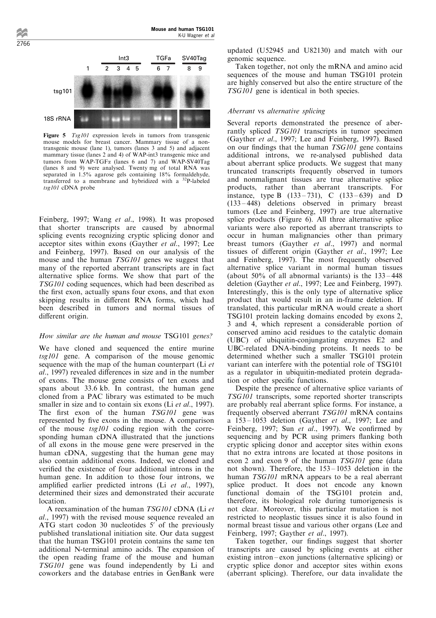

Figure 5 Tsg101 expression levels in tumors from transgenic mouse models for breast cancer. Mammary tissue of a nontransgenic mouse (lane 1), tumors (lanes 3 and 5) and adjacent mammary tissue (lanes 2 and 4) of WAP-int3 transgenic mice and tumors from WAP-TGFa (lanes 6 and 7) and WAP-SV40Tag (lanes 8 and 9) were analysed. Twenty mg of total RNA was separated in 1.5% agarose gels containing 18% formaldehyde, transferred to a membrane and hybridized with a 32P-labeled tsg101 cDNA probe

Feinberg, 1997; Wang et al., 1998). It was proposed that shorter transcripts are caused by abnormal splicing events recognizing cryptic splicing donor and acceptor sites within exons (Gayther et al., 1997; Lee and Feinberg, 1997). Based on our analysis of the mouse and the human TSG101 genes we suggest that many of the reported aberrant transcripts are in fact alternative splice forms. We show that part of the TSG101 coding sequences, which had been described as the first exon, actually spans four exons, and that exon skipping results in different RNA forms, which had been described in tumors and normal tissues of different origin.

## How similar are the human and mouse TSG101 genes?

We have cloned and sequenced the entire murine tsg101 gene. A comparison of the mouse genomic sequence with the map of the human counterpart (Li et al., 1997) revealed differences in size and in the number of exons. The mouse gene consists of ten exons and spans about 33.6 kb. In contrast, the human gene cloned from a PAC library was estimated to be much smaller in size and to contain six exons (Li et al., 1997). The first exon of the human TSG101 gene was represented by five exons in the mouse. A comparison of the mouse tsg101 coding region with the corresponding human cDNA illustrated that the junctions of all exons in the mouse gene were preserved in the human cDNA, suggesting that the human gene may also contain additional exons. Indeed, we cloned and verified the existence of four additional introns in the human gene. In addition to those four introns, we amplified earlier predicted introns (Li et al., 1997), determined their sizes and demonstrated their accurate location.

A reexamination of the human TSG101 cDNA (Li et al., 1997) with the revised mouse sequence revealed an ATG start codon 30 nucleotides 5' of the previously published translational initiation site. Our data suggest that the human TSG101 protein contains the same ten additional N-terminal amino acids. The expansion of the open reading frame of the mouse and human TSG101 gene was found independently by Li and coworkers and the database entries in GenBank were updated (U52945 and U82130) and match with our genomic sequence.

Taken together, not only the mRNA and amino acid sequences of the mouse and human TSG101 protein are highly conserved but also the entire structure of the TSG101 gene is identical in both species.

## Aberrant vs alternative splicing

Several reports demonstrated the presence of aberrantly spliced TSG101 transcripts in tumor specimen (Gayther et al., 1997; Lee and Feinberg, 1997). Based on our findings that the human  $TSG101$  gene contains additional introns, we re-analysed published data about aberrant splice products. We suggest that many truncated transcripts frequently observed in tumors and nonmalignant tissues are true alternative splice products, rather than aberrant transcripts. For instance, type B  $(133-731)$ , C  $(133-639)$  and D  $(133 - 448)$  deletions observed in primary breast tumors (Lee and Feinberg, 1997) are true alternative splice products (Figure 6). All three alternative splice variants were also reported as aberrant transcripts to occur in human malignancies other than primary breast tumors (Gayther et al., 1997) and normal tissues of different origin (Gayther et al., 1997; Lee and Feinberg, 1997). The most frequently observed alternative splice variant in normal human tissues (about  $50\%$  of all abnormal variants) is the  $133-448$ deletion (Gayther et al., 1997; Lee and Feinberg, 1997). Interestingly, this is the only type of alternative splice product that would result in an in-frame deletion. If translated, this particular mRNA would create a short TSG101 protein lacking domains encoded by exons 2, 3 and 4, which represent a considerable portion of conserved amino acid residues to the catalytic domain (UBC) of ubiquitin-conjungating enzymes E2 and UBC-related DNA-binding proteins. It needs to be determined whether such a smaller TSG101 protein variant can interfere with the potential role of TSG101 as a regulator in ubiquitin-mediated protein degradation or other specific functions.

Despite the presence of alternative splice variants of TSG101 transcripts, some reported shorter transcripts are probably real aberrant splice forms. For instance, a frequently observed aberrant TSG101 mRNA contains a  $153 - 1053$  deletion (Gayther *et al.*, 1997; Lee and Feinberg, 1997; Sun et al., 1997). We confirmed by sequencing and by PCR using primers flanking both cryptic splicing donor and acceptor sites within exons that no extra introns are located at those positons in exon 2 and exon 9 of the human TSG101 gene (data not shown). Therefore, the  $153 - 1053$  deletion in the human *TSG101* mRNA appears to be a real aberrant splice product. It does not encode any known functional domain of the TSG101 protein and, therefore, its biological role during tumorigenesis is not clear. Moreover, this particular mutation is not restricted to neoplastic tissues since it is also found in normal breast tissue and various other organs (Lee and Feinberg, 1997; Gayther et al., 1997).

Taken together, our findings suggest that shorter transcripts are caused by splicing events at either existing intron-exon junctions (alternative splicing) or cryptic splice donor and acceptor sites within exons (aberrant splicing). Therefore, our data invalidate the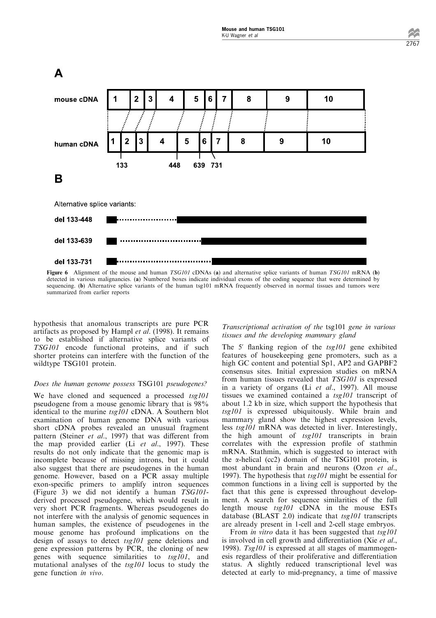

Figure 6 Alignment of the mouse and human TSG101 cDNAs (a) and alternative splice variants of human TSG101 mRNA (b) detected in various malignancies. (a) Numbered boxes indicate individual exons of the coding sequence that were determined by sequencing. (b) Alternative splice variants of the human tsg101 mRNA frequently observed in normal tissues and tumors were summarized from earlier reports

hypothesis that anomalous transcripts are pure PCR artifacts as proposed by Hampl et al. (1998). It remains to be established if alternative splice variants of TSG101 encode functional proteins, and if such shorter proteins can interfere with the function of the wildtype TSG101 protein.

#### Does the human genome possess TSG101 pseudogenes?

We have cloned and sequenced a processed tsg101 pseudogene from a mouse genomic library that is 98% identical to the murine tsg101 cDNA. A Southern blot examination of human genome DNA with various short cDNA probes revealed an unusual fragment pattern (Steiner et al., 1997) that was different from the map provided earlier (Li et al., 1997). These results do not only indicate that the genomic map is incomplete because of missing introns, but it could also suggest that there are pseudogenes in the human genome. However, based on a PCR assay multiple exon-specific primers to amplify intron sequences (Figure 3) we did not identify a human TSG101 derived processed pseudogene, which would result in very short PCR fragments. Whereas pseudogenes do not interfere with the analysis of genomic sequences in human samples, the existence of pseudogenes in the mouse genome has profound implications on the design of assays to detect tsg101 gene deletions and gene expression patterns by PCR, the cloning of new genes with sequence similarities to tsg101, and mutational analyses of the tsg101 locus to study the gene function in vivo.

Transcriptional activation of the tsg101 gene in various tissues and the developing mammary gland

The 5' flanking region of the  $tsg101$  gene exhibited features of housekeeping gene promoters, such as a high GC content and potential Sp1, AP2 and GAPBF2 consensus sites. Initial expression studies on mRNA from human tissues revealed that TSG101 is expressed in a variety of organs (Li et al., 1997). All mouse tissues we examined contained a tsg101 transcript of about 1.2 kb in size, which support the hypothesis that tsg101 is expressed ubiquitously. While brain and mammary gland show the highest expression levels, less tsg101 mRNA was detected in liver. Interestingly, the high amount of tsg101 transcripts in brain correlates with the expression profile of stathmin mRNA. Stathmin, which is suggested to interact with the  $\alpha$ -helical (cc2) domain of the TSG101 protein, is most abundant in brain and neurons (Ozon et al., 1997). The hypothesis that *tsg101* might be essential for common functions in a living cell is supported by the fact that this gene is expressed throughout development. A search for sequence similarities of the full length mouse tsg101 cDNA in the mouse ESTs database (BLAST 2.0) indicate that  $tsgl01$  transcripts are already present in 1-cell and 2-cell stage embryos.

From *in vitro* data it has been suggested that tsg101 is involved in cell growth and differentiation (Xie et al., 1998). Tsg101 is expressed at all stages of mammogenesis regardless of their proliferative and differentiation status. A slightly reduced transcriptional level was detected at early to mid-pregnancy, a time of massive 2767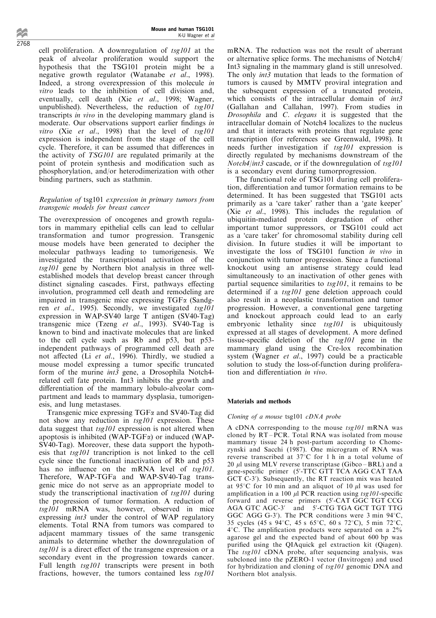2768

cell proliferation. A downregulation of  $tsg101$  at the peak of alveolar proliferation would support the hypothesis that the TSG101 protein might be a negative growth regulator (Watanabe et al., 1998). Indeed, a strong overexpression of this molecule in vitro leads to the inhibition of cell division and, eventually, cell death (Xie et al., 1998; Wagner, unpublished). Nevertheless, the reduction of  $tsgl01$ transcripts in vivo in the developing mammary gland is moderate. Our observations support earlier findings in vitro (Xie et al., 1998) that the level of  $tsg101$ expression is independent from the stage of the cell cycle. Therefore, it can be assumed that differences in the activity of TSG101 are regulated primarily at the point of protein synthesis and modification such as phosphorylation, and/or heterodimerization with other binding partners, such as stathmin.

## Regulation of tsg101 expression in primary tumors from transgenic models for breast cancer

The overexpression of oncogenes and growth regulators in mammary epithelial cells can lead to cellular transformation and tumor progression. Transgenic mouse models have been generated to decipher the molecular pathways leading to tumorigenesis. We investigated the transcriptional activation of the tsg101 gene by Northern blot analysis in three wellestablished models that develop breast cancer through distinct signaling cascades. First, pathways effecting involution, programmed cell death and remodeling are impaired in transgenic mice expressing  $TGF\alpha$  (Sandgren et al., 1995). Secondly, we investigated tsg101 expression in WAP-SV40 large T antigen (SV40-Tag) transgenic mice (Tzeng et al., 1993). SV40-Tag is known to bind and inactivate molecules that are linked to the cell cycle such as Rb and p53, but p53 independent pathways of programmed cell death are not affected (Li et al., 1996). Thirdly, we studied a mouse model expressing a tumor specific truncated form of the murine *int3* gene, a Drosophila Notch4related cell fate protein. Int3 inhibits the growth and differentiation of the mammary lobulo-alveolar compartment and leads to mammary dysplasia, tumorigenesis, and lung metastases.

Transgenic mice expressing TGF $\alpha$  and SV40-Tag did not show any reduction in tsg101 expression. These data suggest that  $tsgl01$  expression is not altered when apoptosis is inhibited (WAP-TGFa) or induced (WAP-SV40-Tag). Moreover, these data support the hypothesis that tsg101 trancription is not linked to the cell cycle since the functional inactivation of Rb and p53 has no influence on the mRNA level of tsg101. Therefore, WAP-TGFa and WAP-SV40-Tag transgenic mice do not serve as an appropriate model to study the transcriptional inactivation of tsg101 during the progression of tumor formation. A reduction of tsg101 mRNA was, however, observed in mice expressing int3 under the control of WAP regulatory elements. Total RNA from tumors was compared to adjacent mammary tissues of the same transgenic animals to determine whether the downregulation of  $tsg101$  is a direct effect of the transgene expression or a secondary event in the progression towards cancer. Full length  $tsg101$  transcripts were present in both fractions, however, the tumors contained less tsg101 mRNA. The reduction was not the result of aberrant or alternative splice forms. The mechanisms of Notch4/ Int3 signaling in the mammary gland is still unresolved. The only *int3* mutation that leads to the formation of tumors is caused by MMTV proviral integration and the subsequent expression of a truncated protein, which consists of the intracellular domain of *int3* (Gallahan and Callahan, 1997). From studies in Drosophila and C. elegans it is suggested that the intracellular domain of Notch4 localizes to the nucleus and that it interacts with proteins that regulate gene transcription (for references see Greenwald, 1998). It needs further investigation if tsg101 expression is directly regulated by mechanisms downstream of the *Notch4/int3* cascade, or if the downregulation of  $tsg101$ is a secondary event during tumorprogression.

The functional role of TSG101 during cell proliferation, differentiation and tumor formation remains to be determined. It has been suggested that TSG101 acts primarily as a `care taker' rather than a `gate keeper' (Xie et al., 1998). This includes the regulation of ubiquitin-mediated protein degradation of other important tumor suppressors, or TSG101 could act as a `care taker' for chromosomal stability during cell division. In future studies it will be important to investigate the loss of TSG101 function in vivo in conjunction with tumor progression. Since a functional knockout using an antisense strategy could lead simultaneously to an inactivation of other genes with partial sequence similarities to  $tsg101$ , it remains to be determined if a *tsg101* gene deletion approach could also result in a neoplastic transformation and tumor progression. However, a conventional gene targeting and knockout approach could lead to an early embryonic lethality since  $tsg101$  is ubiquitously expressed at all stages of development. A more defined tissue-specific deletion of the  $tsg101$  gene in the mammary gland using the Cre-lox recombination system (Wagner et al., 1997) could be a practicable solution to study the loss-of-function during proliferation and differentiation in vivo.

## Materials and methods

## Cloning of a mouse tsg101 cDNA probe

A cDNA corresponding to the mouse  $tsg101$  mRNA was cloned by  $RT - PCR$ . Total RNA was isolated from mouse mammary tissue 24 h post-partum according to Chomczynski and Sacchi (1987). One microgram of RNA was reverse transcribed at  $37^{\circ}$ C for 1 h in a total volume of 20  $\mu$ l using MLV reverse transcriptase (Gibco – BRL) and a gene-specific primer (5'-TTC GTT TCA AGG CAT TAA GCT C-3'). Subsequently, the RT reaction mix was heated at 95 $\degree$ C for 10 min and an aliquot of 10  $\mu$ l was used for amplification in a 100  $\mu$ l PCR reaction using tsg101-specific forward and reverse primers (5'-CAT GGC TGT CCG AGA GTC AGC-3' and 5'-CTG TGA GCT TGT TTG GGC AGG G-3'). The PCR conditions were  $3$  min  $94^{\circ}$ C, 35 cycles (45 s 94 $\degree$ C, 45 s 65 $\degree$ C, 60 s 72 $\degree$ C), 5 min 72 $\degree$ C.  $4^{\circ}$ C. The amplification products were separated on a  $2\%$ agarose gel and the expected band of about 600 bp was purified using the QIAquick gel extraction kit (Qiagen). The tsg101 cDNA probe, after sequencing analysis, was subcloned into the pZERO-1 vector (Invitrogen) and used for hybridization and cloning of tsg101 genomic DNA and Northern blot analysis.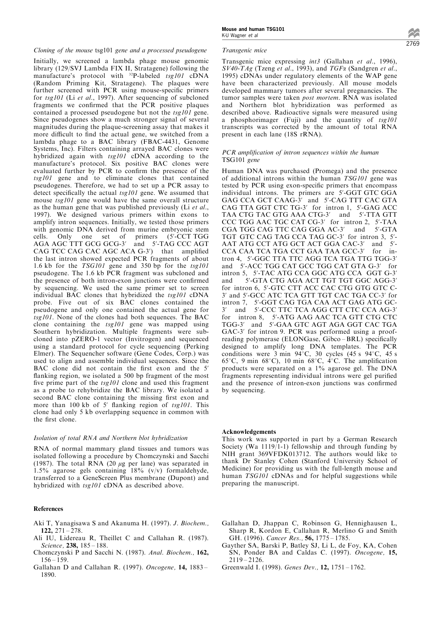Cloning of the mouse tsg101 gene and a processed pseudogene

Initially, we screened a lambda phage mouse genomic library (129/SVJ Lambda FIX II, Stratagene) following the manufacture's protocol with <sup>32</sup>P-labeled tsg101 cDNA (Random Priming Kit, Stratagene). The plaques were further screened with PCR using mouse-specific primers for tsg101 (Li et al., 1997). After sequencing of subcloned fragments we confirmed that the PCR positive plaques contained a processed pseudogene but not the tsg101 gene. Since pseudogenes show a much stronger signal of several magnitudes during the plaque-screening assay that makes it more difficult to find the actual gene, we switched from a lambda phage to a BAC library (FBAC-4431, Genome Systems, Inc). Filters containing arrayed BAC clones were hybridized again with tsg101 cDNA according to the manufacture's protocol. Six positive BAC clones were evaluated further by PCR to confirm the presence of the tsg101 gene and to eliminate clones that contained pseudogenes. Therefore, we had to set up a PCR assay to detect specifically the actual  $tsg101$  gene. We assumed that mouse tsg101 gene would have the same overall structure as the human gene that was published previously (Li et al., 1997). We designed various primers within exons to amplify intron sequences. Initially, we tested those primers with genomic DNA derived from murine embryonic stem<br>cells. Only one set of primers (5'-CCT TGG cells. Only one set of primers AGA AGC TTT GCG GCG-3' and 5'-TAG CCC AGT CAG TCC CAG CAC AGC ACA G-3') that amplified the last intron showed expected PCR fragments of about 1.6 kb for the TSG101 gene and 350 bp for the tsg101 pseudogene. The 1.6 kb PCR fragment was subcloned and the presence of both intron-exon junctions were confirmed by sequencing. We used the same primer set to screen individual BAC clones that hybridized the  $tsg101$  cDNA probe. Five out of six BAC clones contained the pseudogene and only one contained the actual gene for tsg101. None of the clones had both sequences. The BAC clone containing the  $tsg101$  gene was mapped using Southern hybridization. Multiple fragments were subcloned into pZERO-1 vector (Invitrogen) and sequenced using a standard protocol for cycle sequencing (Perking Elmer). The Sequencher software (Gene Codes, Corp.) was used to align and assemble individual sequences. Since the BAC clone did not contain the first exon and the 5' flanking region, we isolated a 500 bp fragment of the most five prime part of the  $tsg101$  clone and used this fragment as a probe to rehybridize the BAC library. We isolated a second BAC clone containing the missing first exon and more than 100 kb of 5' flanking region of  $tsg101$ . This clone had only 5 kb overlapping sequence in common with the first clone.

#### Isolation of total RNA and Northern blot hybridization

RNA of normal mammary gland tissues and tumors was isolated following a procedure by Chomczynski and Sacchi (1987). The total RNA (20  $\mu$ g per lane) was separated in 1.5% agarose gels containing  $18\%$  (v/v) formaldehyde, transferred to a GeneScreen Plus membrane (Dupont) and hybridized with tsg101 cDNA as described above.

### References

- Aki T, Yanagisawa S and Akanuma H. (1997). J. Biochem., 122,  $271 - 278$ .
- Ali IU, Lidereau R, Theillet C and Callahan R. (1987). Science, 238, 185-188.
- Chomczynski P and Sacchi N. (1987). Anal. Biochem., 162,  $156 - 159$ .
- Gallahan D and Callahan R. (1997). Oncogene,  $14$ ,  $1883 -$ 1890.

#### Transgenic mice

Transgenic mice expressing int3 (Gallahan et al., 1996), SV40-TAg (Tzeng et al., 1993), and TGFa (Sandgren et al., 1995) cDNAs under regulatory elements of the WAP gene have been characterized previously. All mouse models developed mammary tumors after several pregnancies. The tumor samples were taken post mortem. RNA was isolated and Northern blot hybridization was performed as described above. Radioactive signals were measured using a phosphorimager (Fuji) and the quantity of  $tsg101$ transcripts was corrected by the amount of total RNA present in each lane (18S rRNA).

#### PCR amplification of intron sequences within the human TSG101 gene

Human DNA was purchased (Promega) and the presence of additional introns within the human TSG101 gene was tested by PCR using exon-specific primers that encompass individual introns. The primers are 5'-GGT GTC GGA GAG CCA GCT CAAG-3' and 5'-CAG TTT CAC GTA CAG TTA GGT CTC TG-3' for intron 1, 5'-GAG ACC TAA CTG TAC GTG AAA CTG-3' and 5'-TTA GTT CCC TGG AAC TGC CAT CG-3' for intron 2, 5'-TAA CGA TGG CAG TTC CAG GGA AC-3' and 5'-GTA TGT GTC CAG TAG CCA TAG GC-3' for intron 3, 5'- AAT ATG CCT ATG GCT ACT GGA CAC-3' and 5'- CCA CAA TCA TGA CCT GAA TAA GCC-3' for intron 4, 5'-GGC TTA TTC AGG TCA TGA TTG TGG-3' and 5'-ACC TGG CAT GCC TGG CAT GTA G-3' for intron 5, 5'-TAC ATG CCA GGC ATG CCA GGT G-3' and 5'-GTA CTG AGA ACT TGT TGT GGC AGG-3' for intron 6, 5'-GTC CTT ACC CAC CTG GTG GTC C-3' and 5'-GCC ATC TCA GTT TGT CAC TGA CC-3' for intron 7, 5'-GGT CAG TGA CAA ACT GAG ATG GC-3' and 5'-CCC TTC TCA AGG CTT CTC CCA AG-3' for intron 8, 5'-ATG AAG AAC TCA GTT CTG CTC TGG-3' and 5'-GAA GTC AGT AGA GGT CAC TGA GAC-3' for intron 9. PCR was performed using a proofreading polymerase (ELONGase, Gibco-BRL) specifically designed to amplify long DNA templates. The PCR conditions were  $3 \text{ min } 94^{\circ}\text{C}$ ,  $30 \text{ cycles } (45 \text{ s } 94^{\circ}\text{C}$ ,  $45 \text{ s }$ 65°C, 9 min 68°C), 10 min 68°C,  $\overline{4}$ °C. The amplification products were separated on a 1% agarose gel. The DNA fragments representing individual introns were gel purified and the presence of intron-exon junctions was confirmed by sequencing.

#### Acknowledgements

This work was supported in part by a German Research Society (Wa 1119/1-1) fellowship and through funding by NIH grant 369VFDK013712. The authors would like to thank Dr Stanley Cohen (Stanford University School of Medicine) for providing us with the full-length mouse and human TSG101 cDNAs and for helpful suggestions while preparing the manuscript.

- Gallahan D, Jhappan C, Robinson G, Hennighausen L, Sharp R, Kordon E, Callahan R, Merlino G and Smith GH. (1996). Cancer Res., 56, 1775-1785.
- Gayther SA, Barski P, Batley SJ, Li L, de Foy, KA, Cohen SN, Ponder BA and Caldas C. (1997). Oncogene, 15,  $2119 - 2126$ .
- Greenwald I. (1998). Genes Dev., 12, 1751 1762.